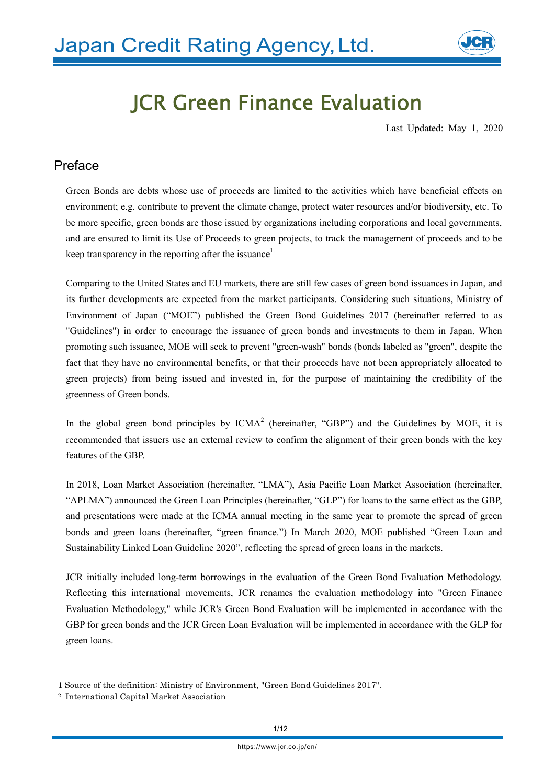

# JCR Green Finance Evaluation

Last Updated: May 1, 2020

## Preface

Green Bonds are debts whose use of proceeds are limited to the activities which have beneficial effects on environment; e.g. contribute to prevent the climate change, protect water resources and/or biodiversity, etc. To be more specific, green bonds are those issued by organizations including corporations and local governments, and are ensured to limit its Use of Proceeds to green projects, to track the management of proceeds and to be keep transparency in the reporting after the issuance<sup>1.</sup>

Comparing to the United States and EU markets, there are still few cases of green bond issuances in Japan, and its further developments are expected from the market participants. Considering such situations, Ministry of Environment of Japan ("MOE") published the Green Bond Guidelines 2017 (hereinafter referred to as "Guidelines") in order to encourage the issuance of green bonds and investments to them in Japan. When promoting such issuance, MOE will seek to prevent "green-wash" bonds (bonds labeled as "green", despite the fact that they have no environmental benefits, or that their proceeds have not been appropriately allocated to green projects) from being issued and invested in, for the purpose of maintaining the credibility of the greenness of Green bonds.

In the global green bond principles by  $ICMA<sup>2</sup>$  (hereinafter, "GBP") and the Guidelines by MOE, it is recommended that issuers use an external review to confirm the alignment of their green bonds with the key features of the GBP.

In 2018, Loan Market Association (hereinafter, "LMA"), Asia Pacific Loan Market Association (hereinafter, "APLMA") announced the Green Loan Principles (hereinafter, "GLP") for loans to the same effect as the GBP, and presentations were made at the ICMA annual meeting in the same year to promote the spread of green bonds and green loans (hereinafter, "green finance.") In March 2020, MOE published "Green Loan and Sustainability Linked Loan Guideline 2020", reflecting the spread of green loans in the markets.

JCR initially included long-term borrowings in the evaluation of the Green Bond Evaluation Methodology. Reflecting this international movements, JCR renames the evaluation methodology into "Green Finance Evaluation Methodology," while JCR's Green Bond Evaluation will be implemented in accordance with the GBP for green bonds and the JCR Green Loan Evaluation will be implemented in accordance with the GLP for green loans.

<sup>1</sup> Source of the definition: Ministry of Environment, "Green Bond Guidelines 2017".

<sup>2</sup> International Capital Market Association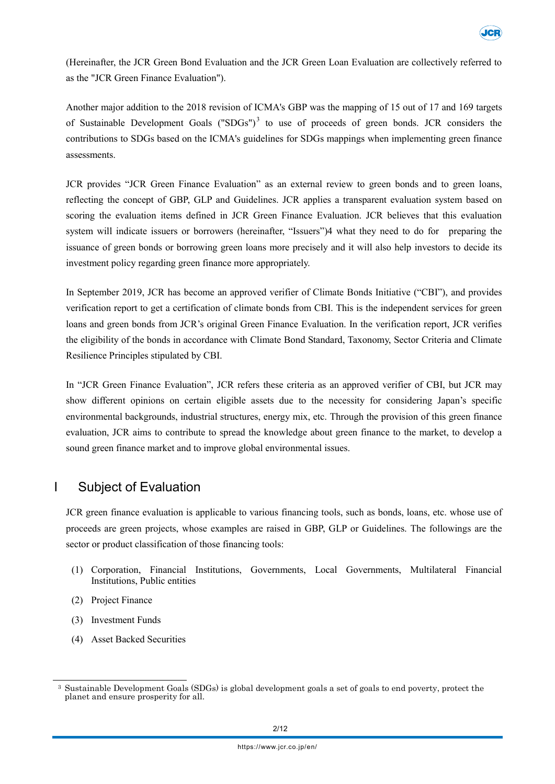

(Hereinafter, the JCR Green Bond Evaluation and the JCR Green Loan Evaluation are collectively referred to as the "JCR Green Finance Evaluation").

Another major addition to the 2018 revision of ICMA's GBP was the mapping of 15 out of 17 and 169 targets of Sustainable Development Goals ("SDGs")<sup>3</sup> to use of proceeds of green bonds. JCR considers the contributions to SDGs based on the ICMA's guidelines for SDGs mappings when implementing green finance assessments.

JCR provides "JCR Green Finance Evaluation" as an external review to green bonds and to green loans, reflecting the concept of GBP, GLP and Guidelines. JCR applies a transparent evaluation system based on scoring the evaluation items defined in JCR Green Finance Evaluation. JCR believes that this evaluation system will indicate issuers or borrowers (hereinafter, "Issuers")4 what they need to do for preparing the issuance of green bonds or borrowing green loans more precisely and it will also help investors to decide its investment policy regarding green finance more appropriately.

In September 2019, JCR has become an approved verifier of Climate Bonds Initiative ("CBI"), and provides verification report to get a certification of climate bonds from CBI. This is the independent services for green loans and green bonds from JCR's original Green Finance Evaluation. In the verification report, JCR verifies the eligibility of the bonds in accordance with Climate Bond Standard, Taxonomy, Sector Criteria and Climate Resilience Principles stipulated by CBI.

In "JCR Green Finance Evaluation", JCR refers these criteria as an approved verifier of CBI, but JCR may show different opinions on certain eligible assets due to the necessity for considering Japan's specific environmental backgrounds, industrial structures, energy mix, etc. Through the provision of this green finance evaluation, JCR aims to contribute to spread the knowledge about green finance to the market, to develop a sound green finance market and to improve global environmental issues.

## I Subject of Evaluation

JCR green finance evaluation is applicable to various financing tools, such as bonds, loans, etc. whose use of proceeds are green projects, whose examples are raised in GBP, GLP or Guidelines. The followings are the sector or product classification of those financing tools:

- (1) Corporation, Financial Institutions, Governments, Local Governments, Multilateral Financial Institutions, Public entities
- (2) Project Finance
- (3) Investment Funds
- (4) Asset Backed Securities

<sup>3</sup> Sustainable Development Goals (SDGs) is global development goals a set of goals to end poverty, protect the planet and ensure prosperity for all.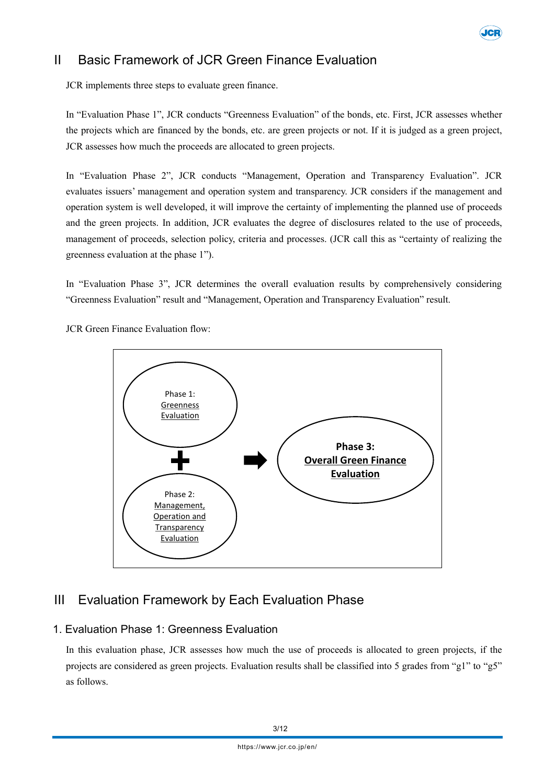

# II Basic Framework of JCR Green Finance Evaluation

JCR implements three steps to evaluate green finance.

In "Evaluation Phase 1", JCR conducts "Greenness Evaluation" of the bonds, etc. First, JCR assesses whether the projects which are financed by the bonds, etc. are green projects or not. If it is judged as a green project, JCR assesses how much the proceeds are allocated to green projects.

In "Evaluation Phase 2", JCR conducts "Management, Operation and Transparency Evaluation". JCR evaluates issuers' management and operation system and transparency. JCR considers if the management and operation system is well developed, it will improve the certainty of implementing the planned use of proceeds and the green projects. In addition, JCR evaluates the degree of disclosures related to the use of proceeds, management of proceeds, selection policy, criteria and processes. (JCR call this as "certainty of realizing the greenness evaluation at the phase 1").

In "Evaluation Phase 3", JCR determines the overall evaluation results by comprehensively considering "Greenness Evaluation" result and "Management, Operation and Transparency Evaluation" result.

JCR Green Finance Evaluation flow:



# III Evaluation Framework by Each Evaluation Phase

#### 1. Evaluation Phase 1: Greenness Evaluation

In this evaluation phase, JCR assesses how much the use of proceeds is allocated to green projects, if the projects are considered as green projects. Evaluation results shall be classified into 5 grades from "g1" to "g5" as follows.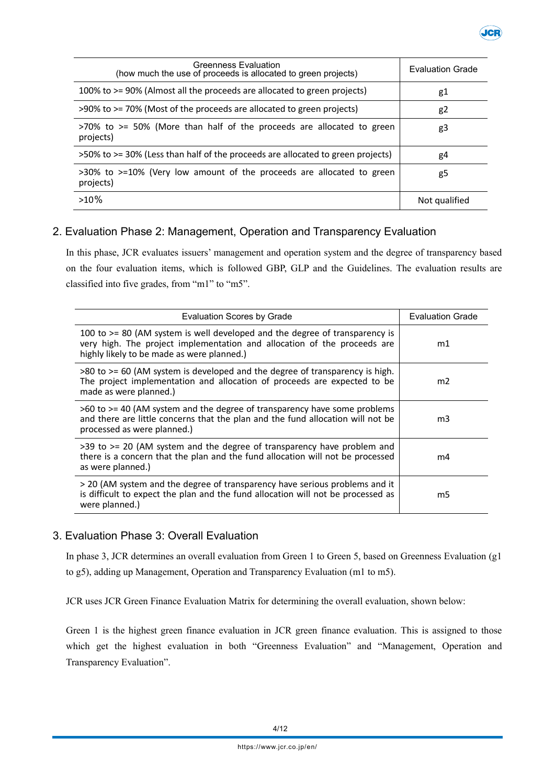

| Greenness Evaluation<br>(how much the use of proceeds is allocated to green projects)   | <b>Evaluation Grade</b> |
|-----------------------------------------------------------------------------------------|-------------------------|
| 100% to >= 90% (Almost all the proceeds are allocated to green projects)                | g1                      |
| >90% to >= 70% (Most of the proceeds are allocated to green projects)                   | g <sub>2</sub>          |
| $>70\%$ to $>=$ 50% (More than half of the proceeds are allocated to green<br>projects) | g3                      |
| >50% to >= 30% (Less than half of the proceeds are allocated to green projects)         | g4                      |
| >30% to >=10% (Very low amount of the proceeds are allocated to green<br>projects)      | g5                      |
| $>10\%$                                                                                 | Not qualified           |

#### 2. Evaluation Phase 2: Management, Operation and Transparency Evaluation

In this phase, JCR evaluates issuers' management and operation system and the degree of transparency based on the four evaluation items, which is followed GBP, GLP and the Guidelines. The evaluation results are classified into five grades, from "m1" to "m5".

| <b>Evaluation Scores by Grade</b>                                                                                                                                                                     | <b>Evaluation Grade</b> |
|-------------------------------------------------------------------------------------------------------------------------------------------------------------------------------------------------------|-------------------------|
| 100 to >= 80 (AM system is well developed and the degree of transparency is<br>very high. The project implementation and allocation of the proceeds are<br>highly likely to be made as were planned.) | m1                      |
| >80 to >= 60 (AM system is developed and the degree of transparency is high.<br>The project implementation and allocation of proceeds are expected to be<br>made as were planned.)                    | m <sub>2</sub>          |
| $>60$ to $>=$ 40 (AM system and the degree of transparency have some problems<br>and there are little concerns that the plan and the fund allocation will not be<br>processed as were planned.)       | m3                      |
| $>39$ to $>= 20$ (AM system and the degree of transparency have problem and<br>there is a concern that the plan and the fund allocation will not be processed<br>as were planned.)                    | m4                      |
| > 20 (AM system and the degree of transparency have serious problems and it<br>is difficult to expect the plan and the fund allocation will not be processed as<br>were planned.)                     | m5                      |

#### 3. Evaluation Phase 3: Overall Evaluation

In phase 3, JCR determines an overall evaluation from Green 1 to Green 5, based on Greenness Evaluation (g1 to g5), adding up Management, Operation and Transparency Evaluation (m1 to m5).

JCR uses JCR Green Finance Evaluation Matrix for determining the overall evaluation, shown below:

Green 1 is the highest green finance evaluation in JCR green finance evaluation. This is assigned to those which get the highest evaluation in both "Greenness Evaluation" and "Management, Operation and Transparency Evaluation".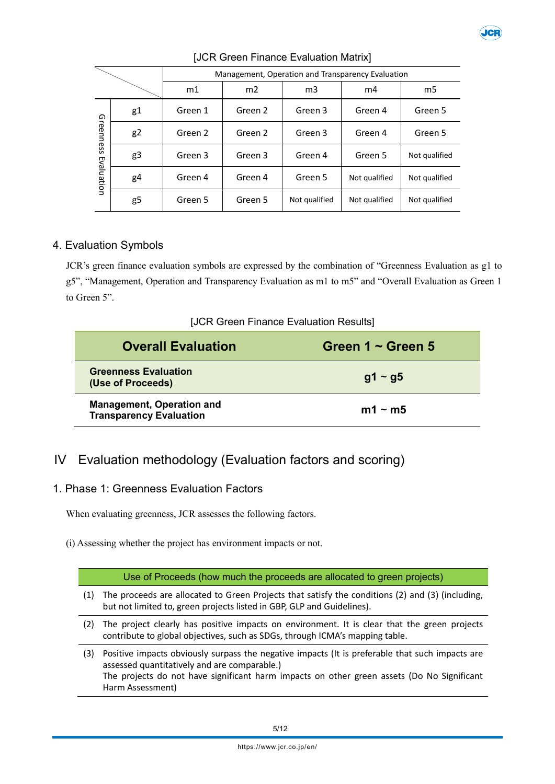

|                         | Management, Operation and Transparency Evaluation |         |                |               |               |               |
|-------------------------|---------------------------------------------------|---------|----------------|---------------|---------------|---------------|
|                         |                                                   | m1      | m <sub>2</sub> | m3            | m4            | m5            |
| Greenness<br>Evaluation | g1                                                | Green 1 | Green 2        | Green 3       | Green 4       | Green 5       |
|                         | g <sub>2</sub>                                    | Green 2 | Green 2        | Green 3       | Green 4       | Green 5       |
|                         | g3                                                | Green 3 | Green 3        | Green 4       | Green 5       | Not qualified |
|                         | g4                                                | Green 4 | Green 4        | Green 5       | Not qualified | Not qualified |
|                         | g5                                                | Green 5 | Green 5        | Not qualified | Not qualified | Not qualified |

#### [JCR Green Finance Evaluation Matrix]

#### 4. Evaluation Symbols

JCR's green finance evaluation symbols are expressed by the combination of "Greenness Evaluation as g1 to g5", "Management, Operation and Transparency Evaluation as m1 to m5" and "Overall Evaluation as Green 1 to Green 5".

#### [JCR Green Finance Evaluation Results]

| <b>Overall Evaluation</b>                                          | Green $1 \sim$ Green 5 |
|--------------------------------------------------------------------|------------------------|
| <b>Greenness Evaluation</b><br>(Use of Proceeds)                   | $g1 \sim g5$           |
| <b>Management, Operation and</b><br><b>Transparency Evaluation</b> | m1 $\sim$ m5           |

## IV Evaluation methodology (Evaluation factors and scoring)

#### 1. Phase 1: Greenness Evaluation Factors

When evaluating greenness, JCR assesses the following factors.

(i) Assessing whether the project has environment impacts or not.

#### Use of Proceeds (how much the proceeds are allocated to green projects)

- (1) The proceeds are allocated to Green Projects that satisfy the conditions (2) and (3) (including, but not limited to, green projects listed in GBP, GLP and Guidelines).
- (2) The project clearly has positive impacts on environment. It is clear that the green projects contribute to global objectives, such as SDGs, through ICMA's mapping table.
- (3) Positive impacts obviously surpass the negative impacts (It is preferable that such impacts are assessed quantitatively and are comparable.) The projects do not have significant harm impacts on other green assets (Do No Significant Harm Assessment)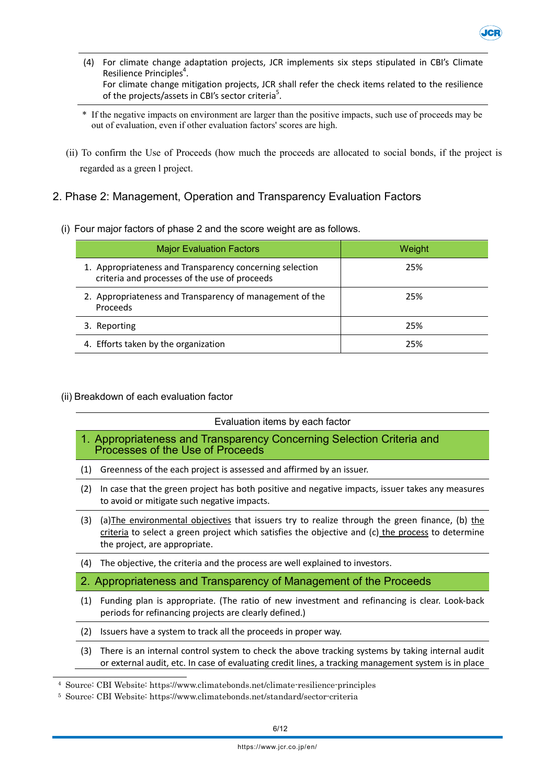

- (4) For climate change adaptation projects, JCR implements six steps stipulated in CBI's Climate Resilience Principles<sup>4</sup>. For climate change mitigation projects, JCR shall refer the check items related to the resilience of the projects/assets in CBI's sector criteria<sup>5</sup>.
- \* If the negative impacts on environment are larger than the positive impacts, such use of proceeds may be out of evaluation, even if other evaluation factors' scores are high.
- (ii) To confirm the Use of Proceeds (how much the proceeds are allocated to social bonds, if the project is regarded as a green l project.
- 2. Phase 2: Management, Operation and Transparency Evaluation Factors
	- (i) Four major factors of phase 2 and the score weight are as follows.

| <b>Major Evaluation Factors</b>                                                                           | Weight |
|-----------------------------------------------------------------------------------------------------------|--------|
| 1. Appropriateness and Transparency concerning selection<br>criteria and processes of the use of proceeds | 25%    |
| 2. Appropriateness and Transparency of management of the<br><b>Proceeds</b>                               | 25%    |
| 3. Reporting                                                                                              | 25%    |
| 4. Efforts taken by the organization                                                                      | 25%    |

(ii) Breakdown of each evaluation factor

|     | Evaluation items by each factor                                                                                                                                                                                                       |  |  |
|-----|---------------------------------------------------------------------------------------------------------------------------------------------------------------------------------------------------------------------------------------|--|--|
|     | 1. Appropriateness and Transparency Concerning Selection Criteria and<br>Processes of the Use of Proceeds                                                                                                                             |  |  |
| (1) | Greenness of the each project is assessed and affirmed by an issuer.                                                                                                                                                                  |  |  |
| (2) | In case that the green project has both positive and negative impacts, issuer takes any measures<br>to avoid or mitigate such negative impacts.                                                                                       |  |  |
| (3) | (a) The environmental objectives that issuers try to realize through the green finance, (b) the<br>criteria to select a green project which satisfies the objective and (c) the process to determine<br>the project, are appropriate. |  |  |
| (4) | The objective, the criteria and the process are well explained to investors.                                                                                                                                                          |  |  |
|     | 2. Appropriateness and Transparency of Management of the Proceeds                                                                                                                                                                     |  |  |
| (1) | Funding plan is appropriate. (The ratio of new investment and refinancing is clear. Look-back<br>periods for refinancing projects are clearly defined.)                                                                               |  |  |
| (2) | Issuers have a system to track all the proceeds in proper way.                                                                                                                                                                        |  |  |
| (3) | There is an internal control system to check the above tracking systems by taking internal audit<br>or external audit, etc. In case of evaluating credit lines, a tracking management system is in place                              |  |  |

<sup>4</sup> Source: CBI Website: https://www.climatebonds.net/climate-resilience-principles

<sup>5</sup> Source: CBI Website: https://www.climatebonds.net/standard/sector-criteria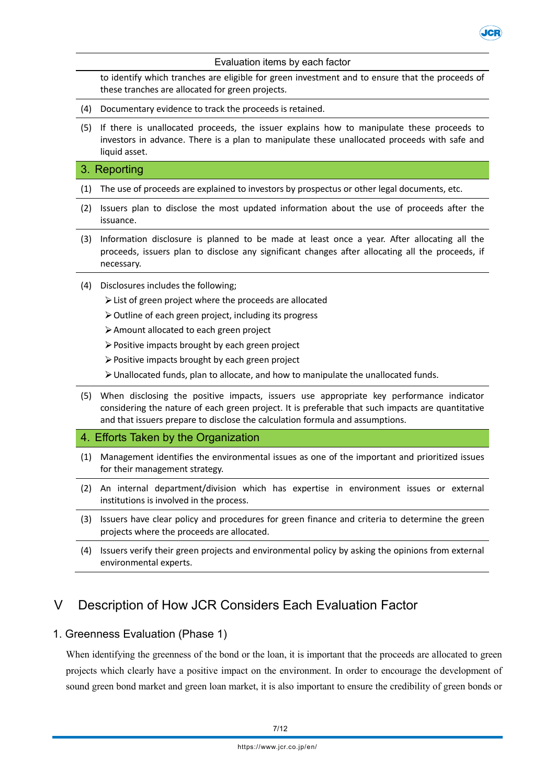

to identify which tranches are eligible for green investment and to ensure that the proceeds of these tranches are allocated for green projects.

JCF

- (4) Documentary evidence to track the proceeds is retained.
- (5) If there is unallocated proceeds, the issuer explains how to manipulate these proceeds to investors in advance. There is a plan to manipulate these unallocated proceeds with safe and liquid asset.

#### 3. Reporting

- (1) The use of proceeds are explained to investors by prospectus or other legal documents, etc.
- (2) Issuers plan to disclose the most updated information about the use of proceeds after the issuance.
- (3) Information disclosure is planned to be made at least once a year. After allocating all the proceeds, issuers plan to disclose any significant changes after allocating all the proceeds, if necessary.
- (4) Disclosures includes the following;
	- List of green project where the proceeds are allocated
	- $\triangleright$  Outline of each green project, including its progress
	- Amount allocated to each green project
	- $\triangleright$  Positive impacts brought by each green project
	- Positive impacts brought by each green project
	- $\triangleright$  Unallocated funds, plan to allocate, and how to manipulate the unallocated funds.
- (5) When disclosing the positive impacts, issuers use appropriate key performance indicator considering the nature of each green project. It is preferable that such impacts are quantitative and that issuers prepare to disclose the calculation formula and assumptions.

#### 4. Efforts Taken by the Organization

- (1) Management identifies the environmental issues as one of the important and prioritized issues for their management strategy.
- (2) An internal department/division which has expertise in environment issues or external institutions is involved in the process.
- (3) Issuers have clear policy and procedures for green finance and criteria to determine the green projects where the proceeds are allocated.
- (4) Issuers verify their green projects and environmental policy by asking the opinions from external environmental experts.

# V Description of How JCR Considers Each Evaluation Factor

#### 1. Greenness Evaluation (Phase 1)

When identifying the greenness of the bond or the loan, it is important that the proceeds are allocated to green projects which clearly have a positive impact on the environment. In order to encourage the development of sound green bond market and green loan market, it is also important to ensure the credibility of green bonds or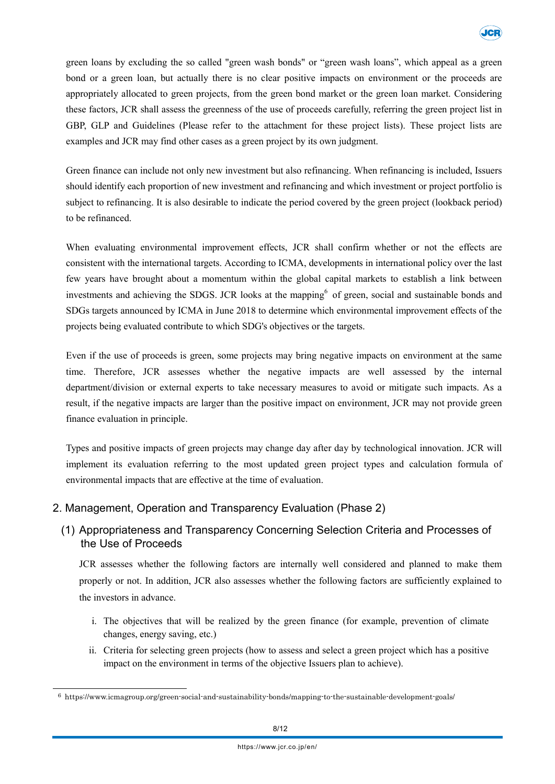green loans by excluding the so called "green wash bonds" or "green wash loans", which appeal as a green bond or a green loan, but actually there is no clear positive impacts on environment or the proceeds are appropriately allocated to green projects, from the green bond market or the green loan market. Considering these factors, JCR shall assess the greenness of the use of proceeds carefully, referring the green project list in GBP, GLP and Guidelines (Please refer to the attachment for these project lists). These project lists are examples and JCR may find other cases as a green project by its own judgment.

Green finance can include not only new investment but also refinancing. When refinancing is included, Issuers should identify each proportion of new investment and refinancing and which investment or project portfolio is subject to refinancing. It is also desirable to indicate the period covered by the green project (lookback period) to be refinanced.

When evaluating environmental improvement effects, JCR shall confirm whether or not the effects are consistent with the international targets. According to ICMA, developments in international policy over the last few years have brought about a momentum within the global capital markets to establish a link between investments and achieving the SDGS. JCR looks at the mapping of green, social and sustainable bonds and SDGs targets announced by ICMA in June 2018 to determine which environmental improvement effects of the projects being evaluated contribute to which SDG's objectives or the targets.

Even if the use of proceeds is green, some projects may bring negative impacts on environment at the same time. Therefore, JCR assesses whether the negative impacts are well assessed by the internal department/division or external experts to take necessary measures to avoid or mitigate such impacts. As a result, if the negative impacts are larger than the positive impact on environment, JCR may not provide green finance evaluation in principle.

Types and positive impacts of green projects may change day after day by technological innovation. JCR will implement its evaluation referring to the most updated green project types and calculation formula of environmental impacts that are effective at the time of evaluation.

#### 2. Management, Operation and Transparency Evaluation (Phase 2)

### (1) Appropriateness and Transparency Concerning Selection Criteria and Processes of the Use of Proceeds

JCR assesses whether the following factors are internally well considered and planned to make them properly or not. In addition, JCR also assesses whether the following factors are sufficiently explained to the investors in advance.

- i. The objectives that will be realized by the green finance (for example, prevention of climate changes, energy saving, etc.)
- ii. Criteria for selecting green projects (how to assess and select a green project which has a positive impact on the environment in terms of the objective Issuers plan to achieve).

<sup>6</sup> https://www.icmagroup.org/green-social-and-sustainability-bonds/mapping-to-the-sustainable-development-goals/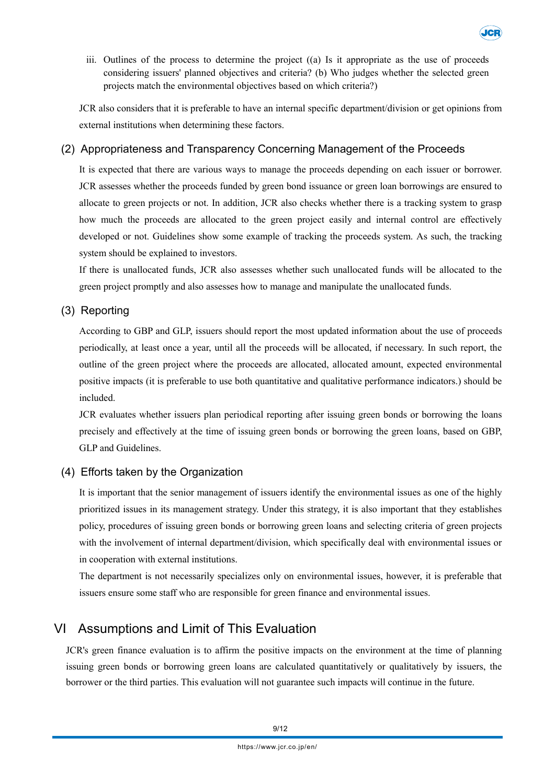

iii. Outlines of the process to determine the project  $(0)$  Is it appropriate as the use of proceeds considering issuers' planned objectives and criteria? (b) Who judges whether the selected green projects match the environmental objectives based on which criteria?)

JCR also considers that it is preferable to have an internal specific department/division or get opinions from external institutions when determining these factors.

#### (2) Appropriateness and Transparency Concerning Management of the Proceeds

It is expected that there are various ways to manage the proceeds depending on each issuer or borrower. JCR assesses whether the proceeds funded by green bond issuance or green loan borrowings are ensured to allocate to green projects or not. In addition, JCR also checks whether there is a tracking system to grasp how much the proceeds are allocated to the green project easily and internal control are effectively developed or not. Guidelines show some example of tracking the proceeds system. As such, the tracking system should be explained to investors.

If there is unallocated funds, JCR also assesses whether such unallocated funds will be allocated to the green project promptly and also assesses how to manage and manipulate the unallocated funds.

#### (3) Reporting

According to GBP and GLP, issuers should report the most updated information about the use of proceeds periodically, at least once a year, until all the proceeds will be allocated, if necessary. In such report, the outline of the green project where the proceeds are allocated, allocated amount, expected environmental positive impacts (it is preferable to use both quantitative and qualitative performance indicators.) should be included.

JCR evaluates whether issuers plan periodical reporting after issuing green bonds or borrowing the loans precisely and effectively at the time of issuing green bonds or borrowing the green loans, based on GBP, GLP and Guidelines.

#### (4) Efforts taken by the Organization

It is important that the senior management of issuers identify the environmental issues as one of the highly prioritized issues in its management strategy. Under this strategy, it is also important that they establishes policy, procedures of issuing green bonds or borrowing green loans and selecting criteria of green projects with the involvement of internal department/division, which specifically deal with environmental issues or in cooperation with external institutions.

The department is not necessarily specializes only on environmental issues, however, it is preferable that issuers ensure some staff who are responsible for green finance and environmental issues.

## VI Assumptions and Limit of This Evaluation

JCR's green finance evaluation is to affirm the positive impacts on the environment at the time of planning issuing green bonds or borrowing green loans are calculated quantitatively or qualitatively by issuers, the borrower or the third parties. This evaluation will not guarantee such impacts will continue in the future.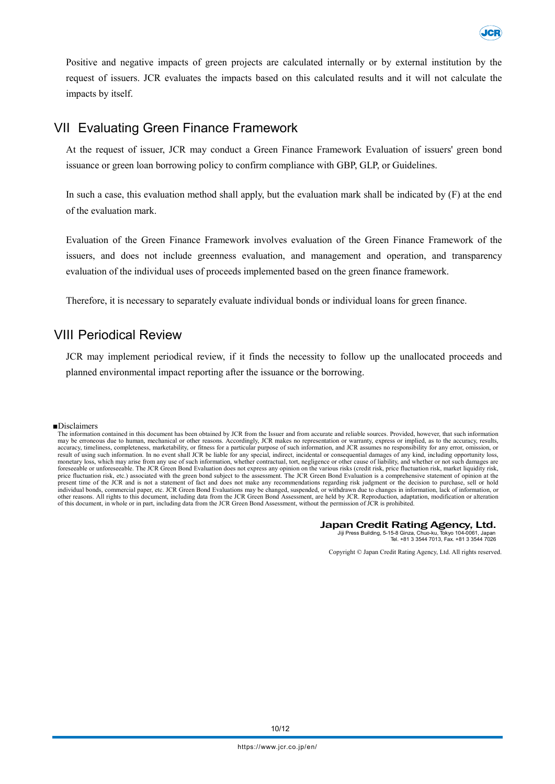

Positive and negative impacts of green projects are calculated internally or by external institution by the request of issuers. JCR evaluates the impacts based on this calculated results and it will not calculate the impacts by itself.

## VII Evaluating Green Finance Framework

At the request of issuer, JCR may conduct a Green Finance Framework Evaluation of issuers' green bond issuance or green loan borrowing policy to confirm compliance with GBP, GLP, or Guidelines.

In such a case, this evaluation method shall apply, but the evaluation mark shall be indicated by (F) at the end of the evaluation mark.

Evaluation of the Green Finance Framework involves evaluation of the Green Finance Framework of the issuers, and does not include greenness evaluation, and management and operation, and transparency evaluation of the individual uses of proceeds implemented based on the green finance framework.

Therefore, it is necessary to separately evaluate individual bonds or individual loans for green finance.

## VIII Periodical Review

JCR may implement periodical review, if it finds the necessity to follow up the unallocated proceeds and planned environmental impact reporting after the issuance or the borrowing.

#### ■Disclaimers

#### Japan Credit Rating Agency, Ltd.

Jiji Press Building, 5-15-8 Ginza, Chuo-ku, Tokyo 104-0061, Japan Tel. +81 3 3544 7013, Fax. +81 3 3544 7026

Copyright © Japan Credit Rating Agency, Ltd. All rights reserved.

The information contained in this document has been obtained by JCR from the Issuer and from accurate and reliable sources. Provided, however, that such information may be erroneous due to human, mechanical or other reasons. Accordingly, JCR makes no representation or warranty, express or implied, as to the accuracy, results, accuracy, timeliness, completeness, marketability, or fitness for a particular purpose of such information, and JCR assumes no responsibility for any error, omission, or<br>result of using such information. In no event shall monetary loss, which may arise from any use of such information, whether contractual, tort, negligence or other cause of liability, and whether or not such damages are foreseeable or unforeseeable. The JCR Green Bond Evaluation does not express any opinion on the various risks (credit risk, price fluctuation risk, market liquidity risk,<br>price fluctuation risk, etc.) associated with the g present time of the JCR and is not a statement of fact and does not make any recommendations regarding risk judgment or the decision to purchase, sell or hold individual bonds, commercial paper, etc. JCR Green Bond Evaluations may be changed, suspended, or withdrawn due to changes in information, lack of information, or other reasons. All rights to this document, including data from the JCR Green Bond Assessment, are held by JCR. Reproduction, adaptation, modification or alteration of this document, in whole or in part, including data from the JCR Green Bond Assessment, without the permission of JCR is prohibited.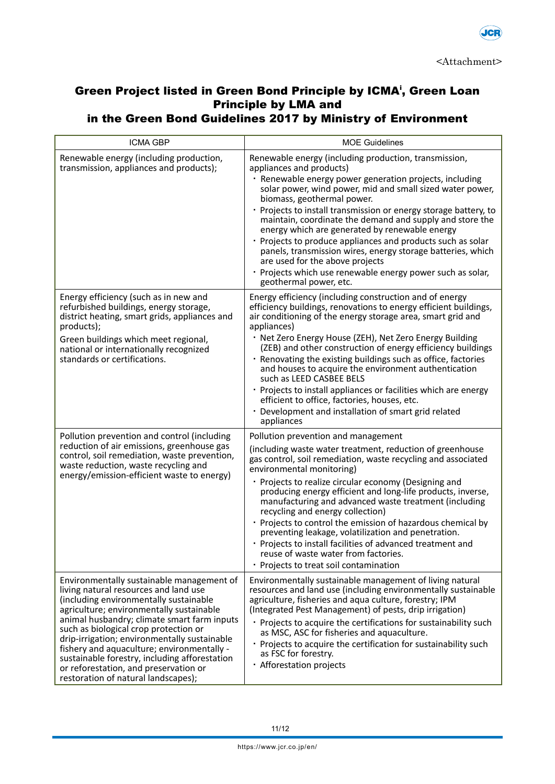

# Green Project listed in Green Bond Principle by ICMA<sup>i</sup>, Green Loan Principle by LMA and

in the Green Bond Guidelines 2017 by Ministry of Environment

| <b>ICMA GBP</b>                                                                                                                                                                                                                                                                                                                                                                                                                                                                                 | <b>MOE Guidelines</b>                                                                                                                                                                                                                                                                                                                                                                                                                                                                                                                                                                                                                                                                     |
|-------------------------------------------------------------------------------------------------------------------------------------------------------------------------------------------------------------------------------------------------------------------------------------------------------------------------------------------------------------------------------------------------------------------------------------------------------------------------------------------------|-------------------------------------------------------------------------------------------------------------------------------------------------------------------------------------------------------------------------------------------------------------------------------------------------------------------------------------------------------------------------------------------------------------------------------------------------------------------------------------------------------------------------------------------------------------------------------------------------------------------------------------------------------------------------------------------|
| Renewable energy (including production,<br>transmission, appliances and products);                                                                                                                                                                                                                                                                                                                                                                                                              | Renewable energy (including production, transmission,<br>appliances and products)<br>· Renewable energy power generation projects, including<br>solar power, wind power, mid and small sized water power,<br>biomass, geothermal power.<br>· Projects to install transmission or energy storage battery, to<br>maintain, coordinate the demand and supply and store the<br>energy which are generated by renewable energy<br>· Projects to produce appliances and products such as solar<br>panels, transmission wires, energy storage batteries, which<br>are used for the above projects<br>· Projects which use renewable energy power such as solar,<br>geothermal power, etc.        |
| Energy efficiency (such as in new and<br>refurbished buildings, energy storage,<br>district heating, smart grids, appliances and<br>products);<br>Green buildings which meet regional,<br>national or internationally recognized<br>standards or certifications.                                                                                                                                                                                                                                | Energy efficiency (including construction and of energy<br>efficiency buildings, renovations to energy efficient buildings,<br>air conditioning of the energy storage area, smart grid and<br>appliances)<br>· Net Zero Energy House (ZEH), Net Zero Energy Building<br>(ZEB) and other construction of energy efficiency buildings<br>· Renovating the existing buildings such as office, factories<br>and houses to acquire the environment authentication<br>such as LEED CASBEE BELS<br>· Projects to install appliances or facilities which are energy<br>efficient to office, factories, houses, etc.<br>· Development and installation of smart grid related<br>appliances         |
| Pollution prevention and control (including<br>reduction of air emissions, greenhouse gas<br>control, soil remediation, waste prevention,<br>waste reduction, waste recycling and<br>energy/emission-efficient waste to energy)                                                                                                                                                                                                                                                                 | Pollution prevention and management<br>(including waste water treatment, reduction of greenhouse<br>gas control, soil remediation, waste recycling and associated<br>environmental monitoring)<br>· Projects to realize circular economy (Designing and<br>producing energy efficient and long-life products, inverse,<br>manufacturing and advanced waste treatment (including<br>recycling and energy collection)<br>· Projects to control the emission of hazardous chemical by<br>preventing leakage, volatilization and penetration.<br>· Projects to install facilities of advanced treatment and<br>reuse of waste water from factories.<br>· Projects to treat soil contamination |
| Environmentally sustainable management of<br>living natural resources and land use<br>(including environmentally sustainable<br>agriculture; environmentally sustainable<br>animal husbandry; climate smart farm inputs<br>such as biological crop protection or<br>drip-irrigation; environmentally sustainable<br>fishery and aquaculture; environmentally -<br>sustainable forestry, including afforestation<br>or reforestation, and preservation or<br>restoration of natural landscapes); | Environmentally sustainable management of living natural<br>resources and land use (including environmentally sustainable<br>agriculture, fisheries and aqua culture, forestry; IPM<br>(Integrated Pest Management) of pests, drip irrigation)<br>· Projects to acquire the certifications for sustainability such<br>as MSC, ASC for fisheries and aquaculture.<br>· Projects to acquire the certification for sustainability such<br>as FSC for forestry.<br>· Afforestation projects                                                                                                                                                                                                   |